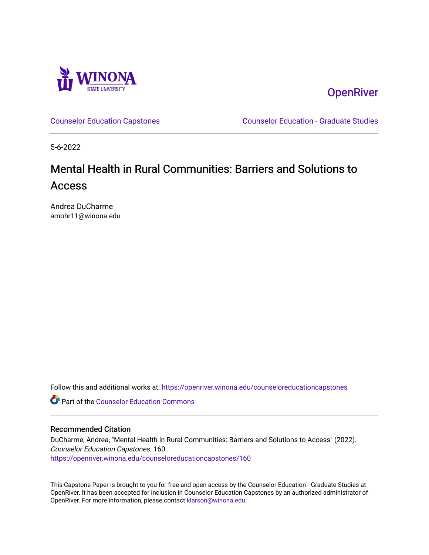

**OpenRiver** 

[Counselor Education Capstones](https://openriver.winona.edu/counseloreducationcapstones) [Counselor Education - Graduate Studies](https://openriver.winona.edu/counseloreducation) 

5-6-2022

# Mental Health in Rural Communities: Barriers and Solutions to Access

Andrea DuCharme amohr11@winona.edu

Follow this and additional works at: [https://openriver.winona.edu/counseloreducationcapstones](https://openriver.winona.edu/counseloreducationcapstones?utm_source=openriver.winona.edu%2Fcounseloreducationcapstones%2F160&utm_medium=PDF&utm_campaign=PDFCoverPages)

**C** Part of the Counselor Education Commons

### Recommended Citation

DuCharme, Andrea, "Mental Health in Rural Communities: Barriers and Solutions to Access" (2022). Counselor Education Capstones. 160. [https://openriver.winona.edu/counseloreducationcapstones/160](https://openriver.winona.edu/counseloreducationcapstones/160?utm_source=openriver.winona.edu%2Fcounseloreducationcapstones%2F160&utm_medium=PDF&utm_campaign=PDFCoverPages)

This Capstone Paper is brought to you for free and open access by the Counselor Education - Graduate Studies at OpenRiver. It has been accepted for inclusion in Counselor Education Capstones by an authorized administrator of OpenRiver. For more information, please contact [klarson@winona.edu](mailto:klarson@winona.edu).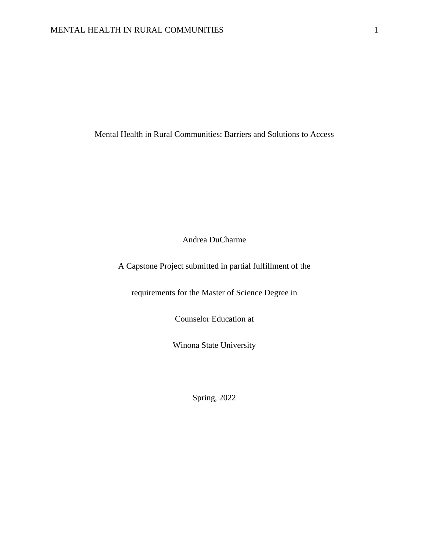Mental Health in Rural Communities: Barriers and Solutions to Access

Andrea DuCharme

A Capstone Project submitted in partial fulfillment of the

requirements for the Master of Science Degree in

Counselor Education at

Winona State University

Spring, 2022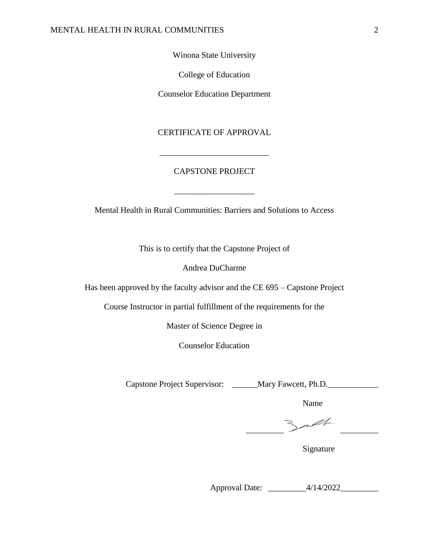# Winona State University

College of Education

Counselor Education Department

# CERTIFICATE OF APPROVAL

\_\_\_\_\_\_\_\_\_\_\_\_\_\_\_\_\_\_\_\_\_\_\_\_\_\_

# CAPSTONE PROJECT

\_\_\_\_\_\_\_\_\_\_\_\_\_\_\_\_\_\_\_

Mental Health in Rural Communities: Barriers and Solutions to Access

This is to certify that the Capstone Project of

Andrea DuCharme

Has been approved by the faculty advisor and the CE 695 – Capstone Project

Course Instructor in partial fulfillment of the requirements for the

Master of Science Degree in

Counselor Education

Capstone Project Supervisor: \_\_\_\_\_\_Mary Fawcett, Ph.D.\_\_\_\_\_\_\_\_\_\_\_\_\_\_\_\_\_\_\_\_\_\_\_\_\_\_\_

Name

 $\qquad \qquad$ 

Signature

Approval Date: \_\_\_\_\_\_\_\_\_4/14/2022\_\_\_\_\_\_\_\_\_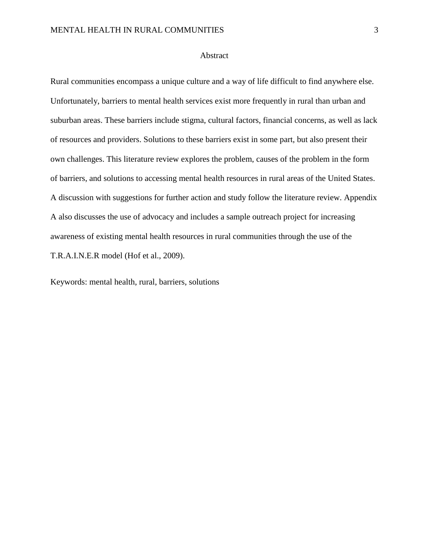#### Abstract

Rural communities encompass a unique culture and a way of life difficult to find anywhere else. Unfortunately, barriers to mental health services exist more frequently in rural than urban and suburban areas. These barriers include stigma, cultural factors, financial concerns, as well as lack of resources and providers. Solutions to these barriers exist in some part, but also present their own challenges. This literature review explores the problem, causes of the problem in the form of barriers, and solutions to accessing mental health resources in rural areas of the United States. A discussion with suggestions for further action and study follow the literature review. Appendix A also discusses the use of advocacy and includes a sample outreach project for increasing awareness of existing mental health resources in rural communities through the use of the T.R.A.I.N.E.R model (Hof et al., 2009).

Keywords: mental health, rural, barriers, solutions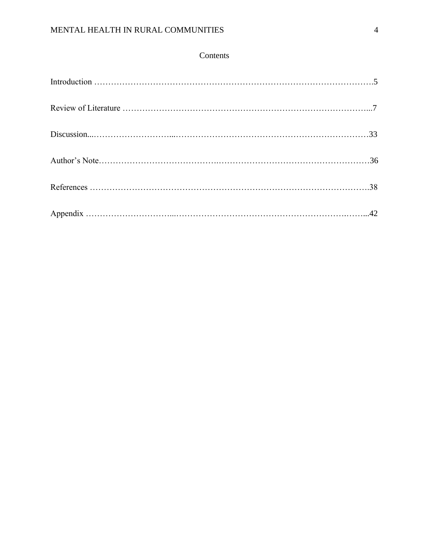# Contents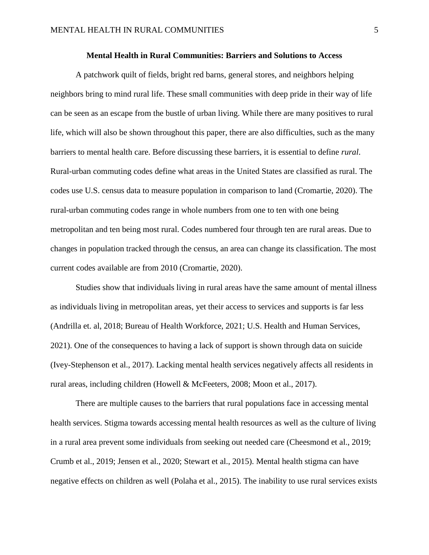#### **Mental Health in Rural Communities: Barriers and Solutions to Access**

A patchwork quilt of fields, bright red barns, general stores, and neighbors helping neighbors bring to mind rural life. These small communities with deep pride in their way of life can be seen as an escape from the bustle of urban living. While there are many positives to rural life, which will also be shown throughout this paper, there are also difficulties, such as the many barriers to mental health care. Before discussing these barriers, it is essential to define *rural*. Rural-urban commuting codes define what areas in the United States are classified as rural. The codes use U.S. census data to measure population in comparison to land (Cromartie, 2020). The rural-urban commuting codes range in whole numbers from one to ten with one being metropolitan and ten being most rural. Codes numbered four through ten are rural areas. Due to changes in population tracked through the census, an area can change its classification. The most current codes available are from 2010 (Cromartie, 2020).

Studies show that individuals living in rural areas have the same amount of mental illness as individuals living in metropolitan areas, yet their access to services and supports is far less (Andrilla et. al, 2018; Bureau of Health Workforce, 2021; U.S. Health and Human Services, 2021). One of the consequences to having a lack of support is shown through data on suicide (Ivey-Stephenson et al., 2017). Lacking mental health services negatively affects all residents in rural areas, including children (Howell & McFeeters, 2008; Moon et al., 2017).

There are multiple causes to the barriers that rural populations face in accessing mental health services. Stigma towards accessing mental health resources as well as the culture of living in a rural area prevent some individuals from seeking out needed care (Cheesmond et al., 2019; Crumb et al., 2019; Jensen et al., 2020; Stewart et al., 2015). Mental health stigma can have negative effects on children as well (Polaha et al., 2015). The inability to use rural services exists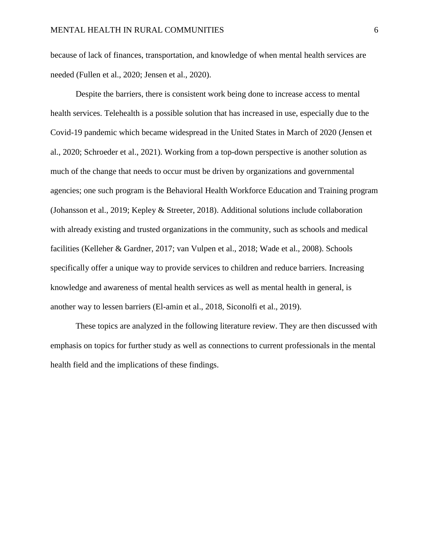because of lack of finances, transportation, and knowledge of when mental health services are needed (Fullen et al., 2020; Jensen et al., 2020).

Despite the barriers, there is consistent work being done to increase access to mental health services. Telehealth is a possible solution that has increased in use, especially due to the Covid-19 pandemic which became widespread in the United States in March of 2020 (Jensen et al., 2020; Schroeder et al., 2021). Working from a top-down perspective is another solution as much of the change that needs to occur must be driven by organizations and governmental agencies; one such program is the Behavioral Health Workforce Education and Training program (Johansson et al., 2019; Kepley & Streeter, 2018). Additional solutions include collaboration with already existing and trusted organizations in the community, such as schools and medical facilities (Kelleher & Gardner, 2017; van Vulpen et al., 2018; Wade et al., 2008). Schools specifically offer a unique way to provide services to children and reduce barriers. Increasing knowledge and awareness of mental health services as well as mental health in general, is another way to lessen barriers (El-amin et al., 2018, Siconolfi et al., 2019).

These topics are analyzed in the following literature review. They are then discussed with emphasis on topics for further study as well as connections to current professionals in the mental health field and the implications of these findings.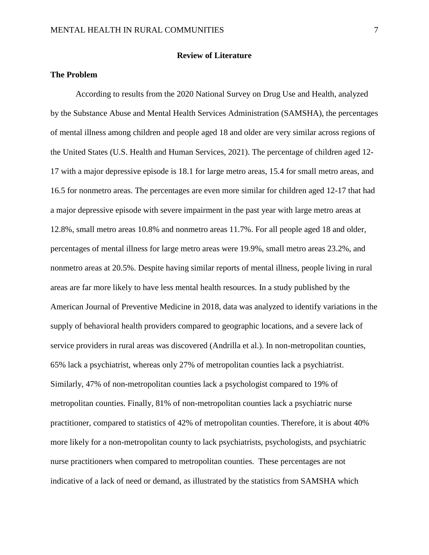#### **Review of Literature**

# **The Problem**

According to results from the 2020 National Survey on Drug Use and Health, analyzed by the Substance Abuse and Mental Health Services Administration (SAMSHA), the percentages of mental illness among children and people aged 18 and older are very similar across regions of the United States (U.S. Health and Human Services, 2021). The percentage of children aged 12- 17 with a major depressive episode is 18.1 for large metro areas, 15.4 for small metro areas, and 16.5 for nonmetro areas. The percentages are even more similar for children aged 12-17 that had a major depressive episode with severe impairment in the past year with large metro areas at 12.8%, small metro areas 10.8% and nonmetro areas 11.7%. For all people aged 18 and older, percentages of mental illness for large metro areas were 19.9%, small metro areas 23.2%, and nonmetro areas at 20.5%. Despite having similar reports of mental illness, people living in rural areas are far more likely to have less mental health resources. In a study published by the American Journal of Preventive Medicine in 2018, data was analyzed to identify variations in the supply of behavioral health providers compared to geographic locations, and a severe lack of service providers in rural areas was discovered (Andrilla et al.). In non-metropolitan counties, 65% lack a psychiatrist, whereas only 27% of metropolitan counties lack a psychiatrist. Similarly, 47% of non-metropolitan counties lack a psychologist compared to 19% of metropolitan counties. Finally, 81% of non-metropolitan counties lack a psychiatric nurse practitioner, compared to statistics of 42% of metropolitan counties. Therefore, it is about 40% more likely for a non-metropolitan county to lack psychiatrists, psychologists, and psychiatric nurse practitioners when compared to metropolitan counties. These percentages are not indicative of a lack of need or demand, as illustrated by the statistics from SAMSHA which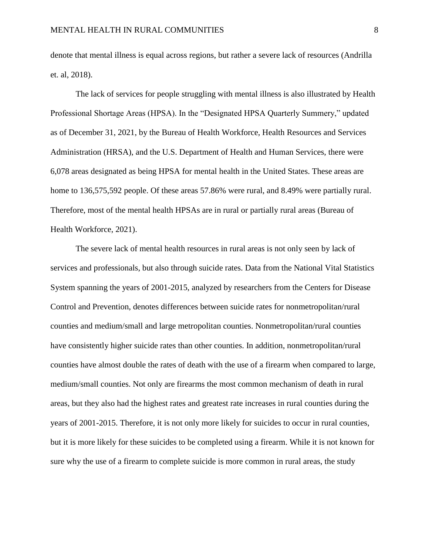denote that mental illness is equal across regions, but rather a severe lack of resources (Andrilla et. al, 2018).

The lack of services for people struggling with mental illness is also illustrated by Health Professional Shortage Areas (HPSA). In the "Designated HPSA Quarterly Summery," updated as of December 31, 2021, by the Bureau of Health Workforce, Health Resources and Services Administration (HRSA), and the U.S. Department of Health and Human Services, there were 6,078 areas designated as being HPSA for mental health in the United States. These areas are home to 136,575,592 people. Of these areas 57.86% were rural, and 8.49% were partially rural. Therefore, most of the mental health HPSAs are in rural or partially rural areas (Bureau of Health Workforce, 2021).

The severe lack of mental health resources in rural areas is not only seen by lack of services and professionals, but also through suicide rates. Data from the National Vital Statistics System spanning the years of 2001-2015, analyzed by researchers from the Centers for Disease Control and Prevention, denotes differences between suicide rates for nonmetropolitan/rural counties and medium/small and large metropolitan counties. Nonmetropolitan/rural counties have consistently higher suicide rates than other counties. In addition, nonmetropolitan/rural counties have almost double the rates of death with the use of a firearm when compared to large, medium/small counties. Not only are firearms the most common mechanism of death in rural areas, but they also had the highest rates and greatest rate increases in rural counties during the years of 2001-2015. Therefore, it is not only more likely for suicides to occur in rural counties, but it is more likely for these suicides to be completed using a firearm. While it is not known for sure why the use of a firearm to complete suicide is more common in rural areas, the study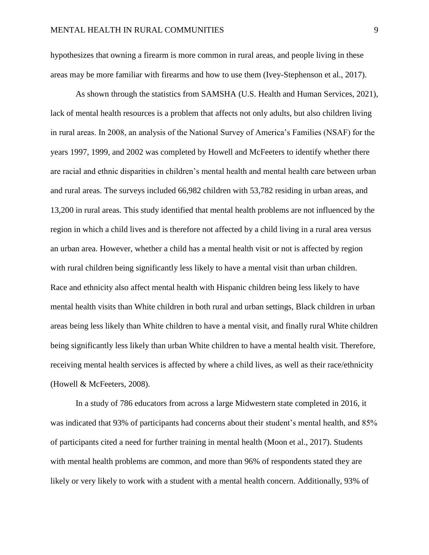hypothesizes that owning a firearm is more common in rural areas, and people living in these areas may be more familiar with firearms and how to use them (Ivey-Stephenson et al., 2017).

As shown through the statistics from SAMSHA (U.S. Health and Human Services, 2021), lack of mental health resources is a problem that affects not only adults, but also children living in rural areas. In 2008, an analysis of the National Survey of America's Families (NSAF) for the years 1997, 1999, and 2002 was completed by Howell and McFeeters to identify whether there are racial and ethnic disparities in children's mental health and mental health care between urban and rural areas. The surveys included 66,982 children with 53,782 residing in urban areas, and 13,200 in rural areas. This study identified that mental health problems are not influenced by the region in which a child lives and is therefore not affected by a child living in a rural area versus an urban area. However, whether a child has a mental health visit or not is affected by region with rural children being significantly less likely to have a mental visit than urban children. Race and ethnicity also affect mental health with Hispanic children being less likely to have mental health visits than White children in both rural and urban settings, Black children in urban areas being less likely than White children to have a mental visit, and finally rural White children being significantly less likely than urban White children to have a mental health visit. Therefore, receiving mental health services is affected by where a child lives, as well as their race/ethnicity (Howell & McFeeters, 2008).

In a study of 786 educators from across a large Midwestern state completed in 2016, it was indicated that 93% of participants had concerns about their student's mental health, and 85% of participants cited a need for further training in mental health (Moon et al., 2017). Students with mental health problems are common, and more than 96% of respondents stated they are likely or very likely to work with a student with a mental health concern. Additionally, 93% of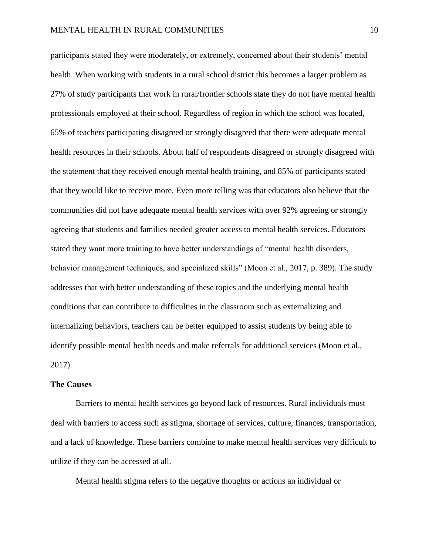participants stated they were moderately, or extremely, concerned about their students' mental health. When working with students in a rural school district this becomes a larger problem as 27% of study participants that work in rural/frontier schools state they do not have mental health professionals employed at their school. Regardless of region in which the school was located, 65% of teachers participating disagreed or strongly disagreed that there were adequate mental health resources in their schools. About half of respondents disagreed or strongly disagreed with the statement that they received enough mental health training, and 85% of participants stated that they would like to receive more. Even more telling was that educators also believe that the communities did not have adequate mental health services with over 92% agreeing or strongly agreeing that students and families needed greater access to mental health services. Educators stated they want more training to have better understandings of "mental health disorders, behavior management techniques, and specialized skills" (Moon et al., 2017, p. 389). The study addresses that with better understanding of these topics and the underlying mental health conditions that can contribute to difficulties in the classroom such as externalizing and internalizing behaviors, teachers can be better equipped to assist students by being able to identify possible mental health needs and make referrals for additional services (Moon et al., 2017).

#### **The Causes**

Barriers to mental health services go beyond lack of resources. Rural individuals must deal with barriers to access such as stigma, shortage of services, culture, finances, transportation, and a lack of knowledge. These barriers combine to make mental health services very difficult to utilize if they can be accessed at all.

Mental health stigma refers to the negative thoughts or actions an individual or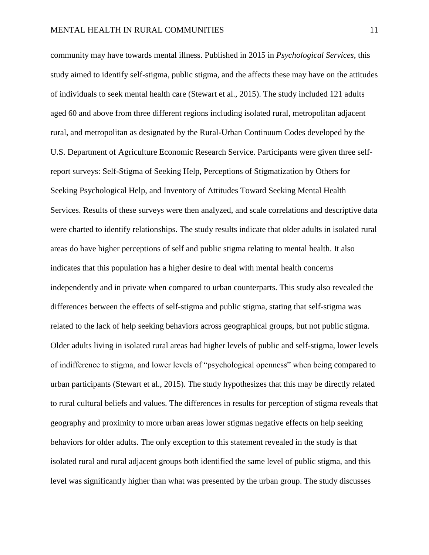community may have towards mental illness. Published in 2015 in *Psychological Services*, this study aimed to identify self-stigma, public stigma, and the affects these may have on the attitudes of individuals to seek mental health care (Stewart et al., 2015). The study included 121 adults aged 60 and above from three different regions including isolated rural, metropolitan adjacent rural, and metropolitan as designated by the Rural-Urban Continuum Codes developed by the U.S. Department of Agriculture Economic Research Service. Participants were given three selfreport surveys: Self-Stigma of Seeking Help, Perceptions of Stigmatization by Others for Seeking Psychological Help, and Inventory of Attitudes Toward Seeking Mental Health Services. Results of these surveys were then analyzed, and scale correlations and descriptive data were charted to identify relationships. The study results indicate that older adults in isolated rural areas do have higher perceptions of self and public stigma relating to mental health. It also indicates that this population has a higher desire to deal with mental health concerns independently and in private when compared to urban counterparts. This study also revealed the differences between the effects of self-stigma and public stigma, stating that self-stigma was related to the lack of help seeking behaviors across geographical groups, but not public stigma. Older adults living in isolated rural areas had higher levels of public and self-stigma, lower levels of indifference to stigma, and lower levels of "psychological openness" when being compared to urban participants (Stewart et al., 2015). The study hypothesizes that this may be directly related to rural cultural beliefs and values. The differences in results for perception of stigma reveals that geography and proximity to more urban areas lower stigmas negative effects on help seeking behaviors for older adults. The only exception to this statement revealed in the study is that isolated rural and rural adjacent groups both identified the same level of public stigma, and this level was significantly higher than what was presented by the urban group. The study discusses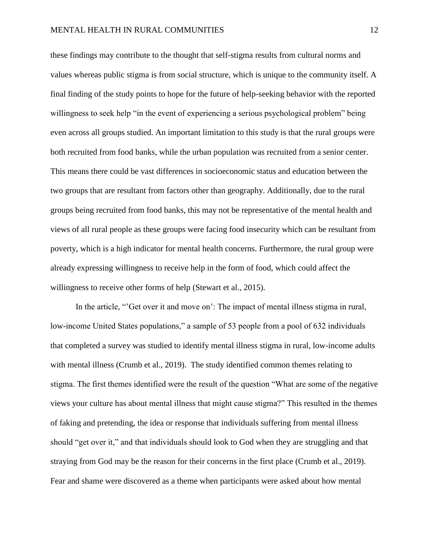these findings may contribute to the thought that self-stigma results from cultural norms and values whereas public stigma is from social structure, which is unique to the community itself. A final finding of the study points to hope for the future of help-seeking behavior with the reported willingness to seek help "in the event of experiencing a serious psychological problem" being even across all groups studied. An important limitation to this study is that the rural groups were both recruited from food banks, while the urban population was recruited from a senior center. This means there could be vast differences in socioeconomic status and education between the two groups that are resultant from factors other than geography. Additionally, due to the rural groups being recruited from food banks, this may not be representative of the mental health and views of all rural people as these groups were facing food insecurity which can be resultant from poverty, which is a high indicator for mental health concerns. Furthermore, the rural group were already expressing willingness to receive help in the form of food, which could affect the willingness to receive other forms of help (Stewart et al., 2015).

In the article, "'Get over it and move on': The impact of mental illness stigma in rural, low-income United States populations," a sample of 53 people from a pool of 632 individuals that completed a survey was studied to identify mental illness stigma in rural, low-income adults with mental illness (Crumb et al., 2019). The study identified common themes relating to stigma. The first themes identified were the result of the question "What are some of the negative views your culture has about mental illness that might cause stigma?" This resulted in the themes of faking and pretending, the idea or response that individuals suffering from mental illness should "get over it," and that individuals should look to God when they are struggling and that straying from God may be the reason for their concerns in the first place (Crumb et al., 2019). Fear and shame were discovered as a theme when participants were asked about how mental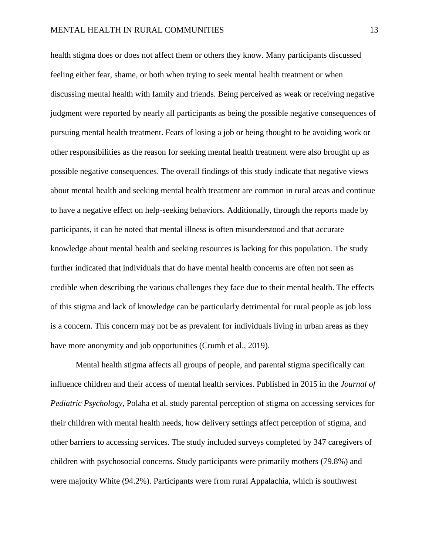health stigma does or does not affect them or others they know. Many participants discussed feeling either fear, shame, or both when trying to seek mental health treatment or when discussing mental health with family and friends. Being perceived as weak or receiving negative judgment were reported by nearly all participants as being the possible negative consequences of pursuing mental health treatment. Fears of losing a job or being thought to be avoiding work or other responsibilities as the reason for seeking mental health treatment were also brought up as possible negative consequences. The overall findings of this study indicate that negative views about mental health and seeking mental health treatment are common in rural areas and continue to have a negative effect on help-seeking behaviors. Additionally, through the reports made by participants, it can be noted that mental illness is often misunderstood and that accurate knowledge about mental health and seeking resources is lacking for this population. The study further indicated that individuals that do have mental health concerns are often not seen as credible when describing the various challenges they face due to their mental health. The effects of this stigma and lack of knowledge can be particularly detrimental for rural people as job loss is a concern. This concern may not be as prevalent for individuals living in urban areas as they have more anonymity and job opportunities (Crumb et al., 2019).

Mental health stigma affects all groups of people, and parental stigma specifically can influence children and their access of mental health services. Published in 2015 in the *Journal of Pediatric Psychology*, Polaha et al. study parental perception of stigma on accessing services for their children with mental health needs, how delivery settings affect perception of stigma, and other barriers to accessing services. The study included surveys completed by 347 caregivers of children with psychosocial concerns. Study participants were primarily mothers (79.8%) and were majority White (94.2%). Participants were from rural Appalachia, which is southwest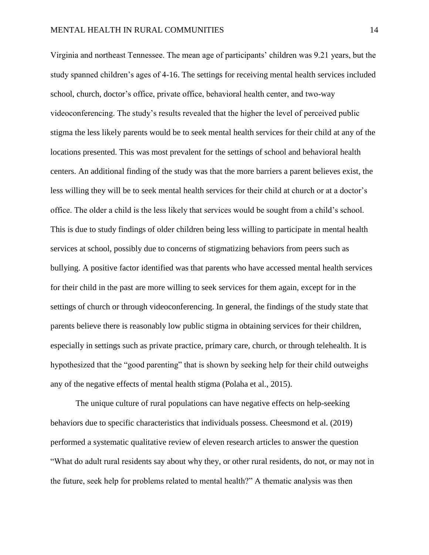Virginia and northeast Tennessee. The mean age of participants' children was 9.21 years, but the study spanned children's ages of 4-16. The settings for receiving mental health services included school, church, doctor's office, private office, behavioral health center, and two-way videoconferencing. The study's results revealed that the higher the level of perceived public stigma the less likely parents would be to seek mental health services for their child at any of the locations presented. This was most prevalent for the settings of school and behavioral health centers. An additional finding of the study was that the more barriers a parent believes exist, the less willing they will be to seek mental health services for their child at church or at a doctor's office. The older a child is the less likely that services would be sought from a child's school. This is due to study findings of older children being less willing to participate in mental health services at school, possibly due to concerns of stigmatizing behaviors from peers such as bullying. A positive factor identified was that parents who have accessed mental health services for their child in the past are more willing to seek services for them again, except for in the settings of church or through videoconferencing. In general, the findings of the study state that parents believe there is reasonably low public stigma in obtaining services for their children, especially in settings such as private practice, primary care, church, or through telehealth. It is hypothesized that the "good parenting" that is shown by seeking help for their child outweighs any of the negative effects of mental health stigma (Polaha et al., 2015).

The unique culture of rural populations can have negative effects on help-seeking behaviors due to specific characteristics that individuals possess. Cheesmond et al. (2019) performed a systematic qualitative review of eleven research articles to answer the question "What do adult rural residents say about why they, or other rural residents, do not, or may not in the future, seek help for problems related to mental health?" A thematic analysis was then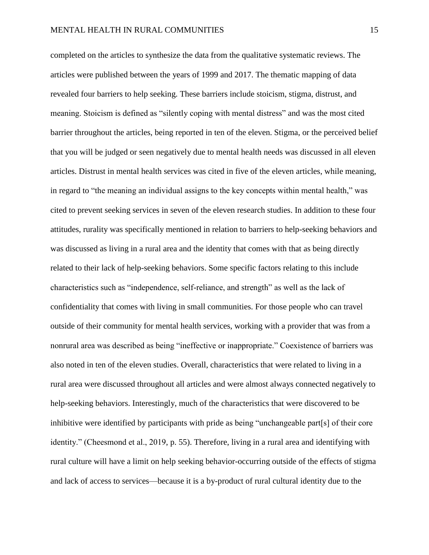completed on the articles to synthesize the data from the qualitative systematic reviews. The articles were published between the years of 1999 and 2017. The thematic mapping of data revealed four barriers to help seeking. These barriers include stoicism, stigma, distrust, and meaning. Stoicism is defined as "silently coping with mental distress" and was the most cited barrier throughout the articles, being reported in ten of the eleven. Stigma, or the perceived belief that you will be judged or seen negatively due to mental health needs was discussed in all eleven articles. Distrust in mental health services was cited in five of the eleven articles, while meaning, in regard to "the meaning an individual assigns to the key concepts within mental health," was cited to prevent seeking services in seven of the eleven research studies. In addition to these four attitudes, rurality was specifically mentioned in relation to barriers to help-seeking behaviors and was discussed as living in a rural area and the identity that comes with that as being directly related to their lack of help-seeking behaviors. Some specific factors relating to this include characteristics such as "independence, self-reliance, and strength" as well as the lack of confidentiality that comes with living in small communities. For those people who can travel outside of their community for mental health services, working with a provider that was from a nonrural area was described as being "ineffective or inappropriate." Coexistence of barriers was also noted in ten of the eleven studies. Overall, characteristics that were related to living in a rural area were discussed throughout all articles and were almost always connected negatively to help-seeking behaviors. Interestingly, much of the characteristics that were discovered to be inhibitive were identified by participants with pride as being "unchangeable part[s] of their core identity." (Cheesmond et al., 2019, p. 55). Therefore, living in a rural area and identifying with rural culture will have a limit on help seeking behavior-occurring outside of the effects of stigma and lack of access to services—because it is a by-product of rural cultural identity due to the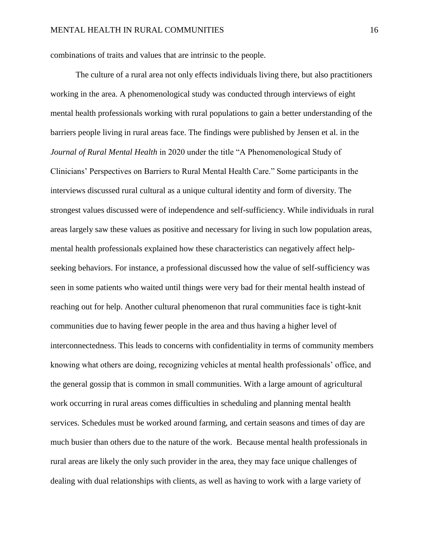combinations of traits and values that are intrinsic to the people.

The culture of a rural area not only effects individuals living there, but also practitioners working in the area. A phenomenological study was conducted through interviews of eight mental health professionals working with rural populations to gain a better understanding of the barriers people living in rural areas face. The findings were published by Jensen et al. in the *Journal of Rural Mental Health* in 2020 under the title "A Phenomenological Study of Clinicians' Perspectives on Barriers to Rural Mental Health Care." Some participants in the interviews discussed rural cultural as a unique cultural identity and form of diversity. The strongest values discussed were of independence and self-sufficiency. While individuals in rural areas largely saw these values as positive and necessary for living in such low population areas, mental health professionals explained how these characteristics can negatively affect helpseeking behaviors. For instance, a professional discussed how the value of self-sufficiency was seen in some patients who waited until things were very bad for their mental health instead of reaching out for help. Another cultural phenomenon that rural communities face is tight-knit communities due to having fewer people in the area and thus having a higher level of interconnectedness. This leads to concerns with confidentiality in terms of community members knowing what others are doing, recognizing vehicles at mental health professionals' office, and the general gossip that is common in small communities. With a large amount of agricultural work occurring in rural areas comes difficulties in scheduling and planning mental health services. Schedules must be worked around farming, and certain seasons and times of day are much busier than others due to the nature of the work. Because mental health professionals in rural areas are likely the only such provider in the area, they may face unique challenges of dealing with dual relationships with clients, as well as having to work with a large variety of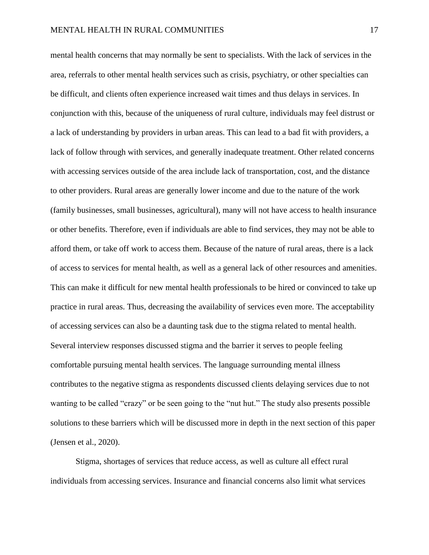mental health concerns that may normally be sent to specialists. With the lack of services in the area, referrals to other mental health services such as crisis, psychiatry, or other specialties can be difficult, and clients often experience increased wait times and thus delays in services. In conjunction with this, because of the uniqueness of rural culture, individuals may feel distrust or a lack of understanding by providers in urban areas. This can lead to a bad fit with providers, a lack of follow through with services, and generally inadequate treatment. Other related concerns with accessing services outside of the area include lack of transportation, cost, and the distance to other providers. Rural areas are generally lower income and due to the nature of the work (family businesses, small businesses, agricultural), many will not have access to health insurance or other benefits. Therefore, even if individuals are able to find services, they may not be able to afford them, or take off work to access them. Because of the nature of rural areas, there is a lack of access to services for mental health, as well as a general lack of other resources and amenities. This can make it difficult for new mental health professionals to be hired or convinced to take up practice in rural areas. Thus, decreasing the availability of services even more. The acceptability of accessing services can also be a daunting task due to the stigma related to mental health. Several interview responses discussed stigma and the barrier it serves to people feeling comfortable pursuing mental health services. The language surrounding mental illness contributes to the negative stigma as respondents discussed clients delaying services due to not wanting to be called "crazy" or be seen going to the "nut hut." The study also presents possible solutions to these barriers which will be discussed more in depth in the next section of this paper (Jensen et al., 2020).

Stigma, shortages of services that reduce access, as well as culture all effect rural individuals from accessing services. Insurance and financial concerns also limit what services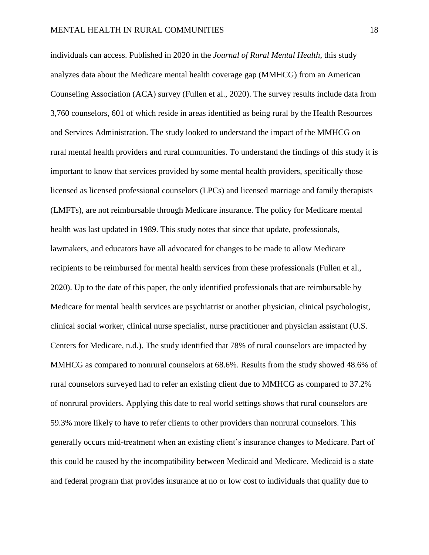individuals can access. Published in 2020 in the *Journal of Rural Mental Health*, this study analyzes data about the Medicare mental health coverage gap (MMHCG) from an American Counseling Association (ACA) survey (Fullen et al., 2020). The survey results include data from 3,760 counselors, 601 of which reside in areas identified as being rural by the Health Resources and Services Administration. The study looked to understand the impact of the MMHCG on rural mental health providers and rural communities. To understand the findings of this study it is important to know that services provided by some mental health providers, specifically those licensed as licensed professional counselors (LPCs) and licensed marriage and family therapists (LMFTs), are not reimbursable through Medicare insurance. The policy for Medicare mental health was last updated in 1989. This study notes that since that update, professionals, lawmakers, and educators have all advocated for changes to be made to allow Medicare recipients to be reimbursed for mental health services from these professionals (Fullen et al., 2020). Up to the date of this paper, the only identified professionals that are reimbursable by Medicare for mental health services are psychiatrist or another physician, clinical psychologist, clinical social worker, clinical nurse specialist, nurse practitioner and physician assistant (U.S. Centers for Medicare, n.d.). The study identified that 78% of rural counselors are impacted by MMHCG as compared to nonrural counselors at 68.6%. Results from the study showed 48.6% of rural counselors surveyed had to refer an existing client due to MMHCG as compared to 37.2% of nonrural providers. Applying this date to real world settings shows that rural counselors are 59.3% more likely to have to refer clients to other providers than nonrural counselors. This generally occurs mid-treatment when an existing client's insurance changes to Medicare. Part of this could be caused by the incompatibility between Medicaid and Medicare. Medicaid is a state and federal program that provides insurance at no or low cost to individuals that qualify due to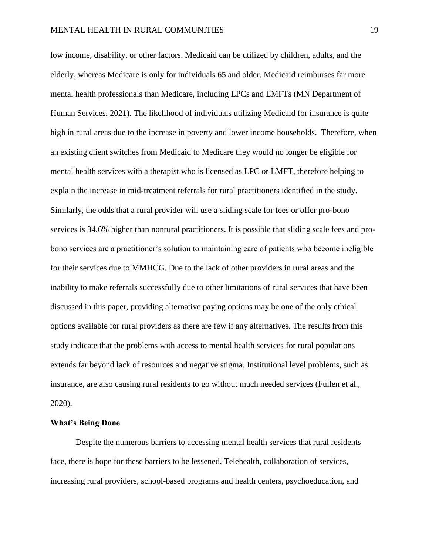low income, disability, or other factors. Medicaid can be utilized by children, adults, and the elderly, whereas Medicare is only for individuals 65 and older. Medicaid reimburses far more mental health professionals than Medicare, including LPCs and LMFTs (MN Department of Human Services, 2021). The likelihood of individuals utilizing Medicaid for insurance is quite high in rural areas due to the increase in poverty and lower income households. Therefore, when an existing client switches from Medicaid to Medicare they would no longer be eligible for mental health services with a therapist who is licensed as LPC or LMFT, therefore helping to explain the increase in mid-treatment referrals for rural practitioners identified in the study. Similarly, the odds that a rural provider will use a sliding scale for fees or offer pro-bono services is 34.6% higher than nonrural practitioners. It is possible that sliding scale fees and probono services are a practitioner's solution to maintaining care of patients who become ineligible for their services due to MMHCG. Due to the lack of other providers in rural areas and the inability to make referrals successfully due to other limitations of rural services that have been discussed in this paper, providing alternative paying options may be one of the only ethical options available for rural providers as there are few if any alternatives. The results from this study indicate that the problems with access to mental health services for rural populations extends far beyond lack of resources and negative stigma. Institutional level problems, such as insurance, are also causing rural residents to go without much needed services (Fullen et al., 2020).

#### **What's Being Done**

Despite the numerous barriers to accessing mental health services that rural residents face, there is hope for these barriers to be lessened. Telehealth, collaboration of services, increasing rural providers, school-based programs and health centers, psychoeducation, and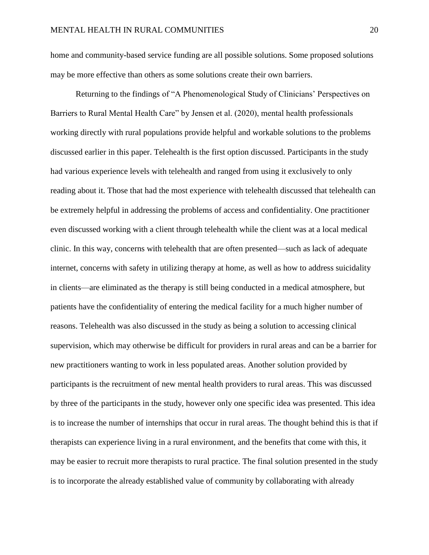home and community-based service funding are all possible solutions. Some proposed solutions may be more effective than others as some solutions create their own barriers.

Returning to the findings of "A Phenomenological Study of Clinicians' Perspectives on Barriers to Rural Mental Health Care" by Jensen et al. (2020), mental health professionals working directly with rural populations provide helpful and workable solutions to the problems discussed earlier in this paper. Telehealth is the first option discussed. Participants in the study had various experience levels with telehealth and ranged from using it exclusively to only reading about it. Those that had the most experience with telehealth discussed that telehealth can be extremely helpful in addressing the problems of access and confidentiality. One practitioner even discussed working with a client through telehealth while the client was at a local medical clinic. In this way, concerns with telehealth that are often presented—such as lack of adequate internet, concerns with safety in utilizing therapy at home, as well as how to address suicidality in clients—are eliminated as the therapy is still being conducted in a medical atmosphere, but patients have the confidentiality of entering the medical facility for a much higher number of reasons. Telehealth was also discussed in the study as being a solution to accessing clinical supervision, which may otherwise be difficult for providers in rural areas and can be a barrier for new practitioners wanting to work in less populated areas. Another solution provided by participants is the recruitment of new mental health providers to rural areas. This was discussed by three of the participants in the study, however only one specific idea was presented. This idea is to increase the number of internships that occur in rural areas. The thought behind this is that if therapists can experience living in a rural environment, and the benefits that come with this, it may be easier to recruit more therapists to rural practice. The final solution presented in the study is to incorporate the already established value of community by collaborating with already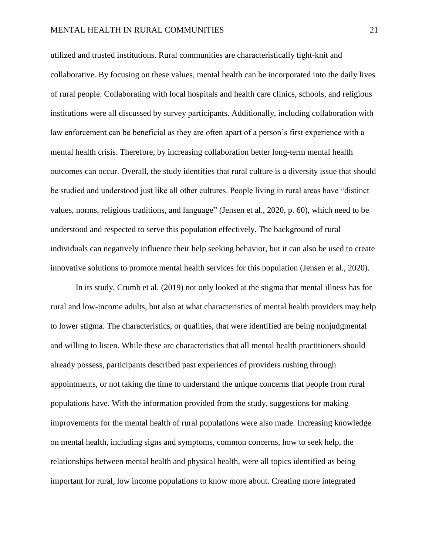utilized and trusted institutions. Rural communities are characteristically tight-knit and collaborative. By focusing on these values, mental health can be incorporated into the daily lives of rural people. Collaborating with local hospitals and health care clinics, schools, and religious institutions were all discussed by survey participants. Additionally, including collaboration with law enforcement can be beneficial as they are often apart of a person's first experience with a mental health crisis. Therefore, by increasing collaboration better long-term mental health outcomes can occur. Overall, the study identifies that rural culture is a diversity issue that should be studied and understood just like all other cultures. People living in rural areas have "distinct values, norms, religious traditions, and language" (Jensen et al., 2020, p. 60), which need to be understood and respected to serve this population effectively. The background of rural individuals can negatively influence their help seeking behavior, but it can also be used to create innovative solutions to promote mental health services for this population (Jensen et al., 2020).

In its study, Crumb et al. (2019) not only looked at the stigma that mental illness has for rural and low-income adults, but also at what characteristics of mental health providers may help to lower stigma. The characteristics, or qualities, that were identified are being nonjudgmental and willing to listen. While these are characteristics that all mental health practitioners should already possess, participants described past experiences of providers rushing through appointments, or not taking the time to understand the unique concerns that people from rural populations have. With the information provided from the study, suggestions for making improvements for the mental health of rural populations were also made. Increasing knowledge on mental health, including signs and symptoms, common concerns, how to seek help, the relationships between mental health and physical health, were all topics identified as being important for rural, low income populations to know more about. Creating more integrated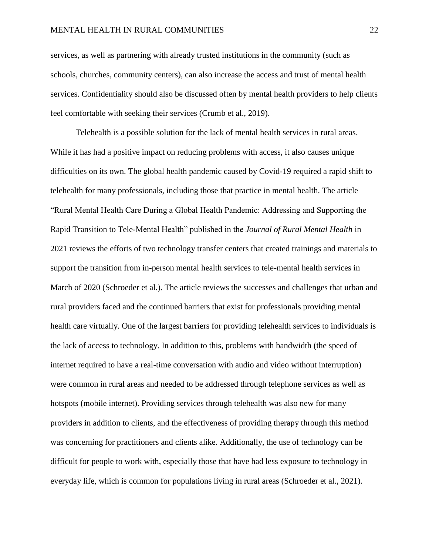services, as well as partnering with already trusted institutions in the community (such as schools, churches, community centers), can also increase the access and trust of mental health services. Confidentiality should also be discussed often by mental health providers to help clients feel comfortable with seeking their services (Crumb et al., 2019).

Telehealth is a possible solution for the lack of mental health services in rural areas. While it has had a positive impact on reducing problems with access, it also causes unique difficulties on its own. The global health pandemic caused by Covid-19 required a rapid shift to telehealth for many professionals, including those that practice in mental health. The article "Rural Mental Health Care During a Global Health Pandemic: Addressing and Supporting the Rapid Transition to Tele-Mental Health" published in the *Journal of Rural Mental Health* in 2021 reviews the efforts of two technology transfer centers that created trainings and materials to support the transition from in-person mental health services to tele-mental health services in March of 2020 (Schroeder et al.). The article reviews the successes and challenges that urban and rural providers faced and the continued barriers that exist for professionals providing mental health care virtually. One of the largest barriers for providing telehealth services to individuals is the lack of access to technology. In addition to this, problems with bandwidth (the speed of internet required to have a real-time conversation with audio and video without interruption) were common in rural areas and needed to be addressed through telephone services as well as hotspots (mobile internet). Providing services through telehealth was also new for many providers in addition to clients, and the effectiveness of providing therapy through this method was concerning for practitioners and clients alike. Additionally, the use of technology can be difficult for people to work with, especially those that have had less exposure to technology in everyday life, which is common for populations living in rural areas (Schroeder et al., 2021).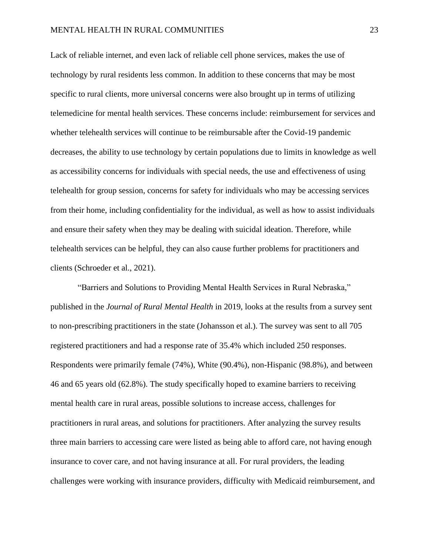Lack of reliable internet, and even lack of reliable cell phone services, makes the use of technology by rural residents less common. In addition to these concerns that may be most specific to rural clients, more universal concerns were also brought up in terms of utilizing telemedicine for mental health services. These concerns include: reimbursement for services and whether telehealth services will continue to be reimbursable after the Covid-19 pandemic decreases, the ability to use technology by certain populations due to limits in knowledge as well as accessibility concerns for individuals with special needs, the use and effectiveness of using telehealth for group session, concerns for safety for individuals who may be accessing services from their home, including confidentiality for the individual, as well as how to assist individuals and ensure their safety when they may be dealing with suicidal ideation. Therefore, while telehealth services can be helpful, they can also cause further problems for practitioners and clients (Schroeder et al., 2021).

"Barriers and Solutions to Providing Mental Health Services in Rural Nebraska," published in the *Journal of Rural Mental Health* in 2019, looks at the results from a survey sent to non-prescribing practitioners in the state (Johansson et al.). The survey was sent to all 705 registered practitioners and had a response rate of 35.4% which included 250 responses. Respondents were primarily female (74%), White (90.4%), non-Hispanic (98.8%), and between 46 and 65 years old (62.8%). The study specifically hoped to examine barriers to receiving mental health care in rural areas, possible solutions to increase access, challenges for practitioners in rural areas, and solutions for practitioners. After analyzing the survey results three main barriers to accessing care were listed as being able to afford care, not having enough insurance to cover care, and not having insurance at all. For rural providers, the leading challenges were working with insurance providers, difficulty with Medicaid reimbursement, and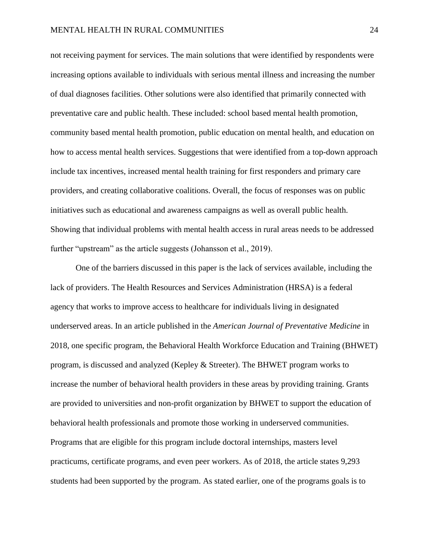not receiving payment for services. The main solutions that were identified by respondents were increasing options available to individuals with serious mental illness and increasing the number of dual diagnoses facilities. Other solutions were also identified that primarily connected with preventative care and public health. These included: school based mental health promotion, community based mental health promotion, public education on mental health, and education on how to access mental health services. Suggestions that were identified from a top-down approach include tax incentives, increased mental health training for first responders and primary care providers, and creating collaborative coalitions. Overall, the focus of responses was on public initiatives such as educational and awareness campaigns as well as overall public health. Showing that individual problems with mental health access in rural areas needs to be addressed further "upstream" as the article suggests (Johansson et al., 2019).

One of the barriers discussed in this paper is the lack of services available, including the lack of providers. The Health Resources and Services Administration (HRSA) is a federal agency that works to improve access to healthcare for individuals living in designated underserved areas. In an article published in the *American Journal of Preventative Medicine* in 2018, one specific program, the Behavioral Health Workforce Education and Training (BHWET) program, is discussed and analyzed (Kepley & Streeter). The BHWET program works to increase the number of behavioral health providers in these areas by providing training. Grants are provided to universities and non-profit organization by BHWET to support the education of behavioral health professionals and promote those working in underserved communities. Programs that are eligible for this program include doctoral internships, masters level practicums, certificate programs, and even peer workers. As of 2018, the article states 9,293 students had been supported by the program. As stated earlier, one of the programs goals is to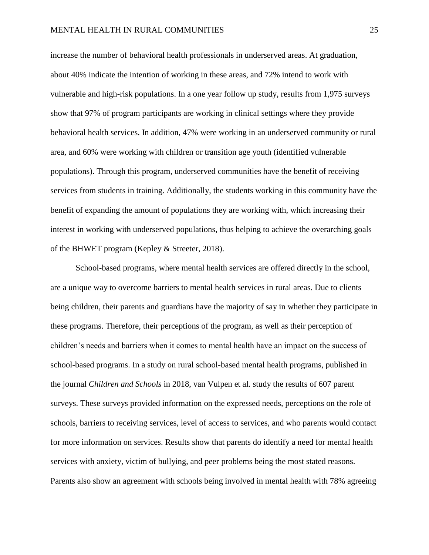increase the number of behavioral health professionals in underserved areas. At graduation, about 40% indicate the intention of working in these areas, and 72% intend to work with vulnerable and high-risk populations. In a one year follow up study, results from 1,975 surveys show that 97% of program participants are working in clinical settings where they provide behavioral health services. In addition, 47% were working in an underserved community or rural area, and 60% were working with children or transition age youth (identified vulnerable populations). Through this program, underserved communities have the benefit of receiving services from students in training. Additionally, the students working in this community have the benefit of expanding the amount of populations they are working with, which increasing their interest in working with underserved populations, thus helping to achieve the overarching goals of the BHWET program (Kepley & Streeter, 2018).

School-based programs, where mental health services are offered directly in the school, are a unique way to overcome barriers to mental health services in rural areas. Due to clients being children, their parents and guardians have the majority of say in whether they participate in these programs. Therefore, their perceptions of the program, as well as their perception of children's needs and barriers when it comes to mental health have an impact on the success of school-based programs. In a study on rural school-based mental health programs, published in the journal *Children and Schools* in 2018, van Vulpen et al. study the results of 607 parent surveys. These surveys provided information on the expressed needs, perceptions on the role of schools, barriers to receiving services, level of access to services, and who parents would contact for more information on services. Results show that parents do identify a need for mental health services with anxiety, victim of bullying, and peer problems being the most stated reasons. Parents also show an agreement with schools being involved in mental health with 78% agreeing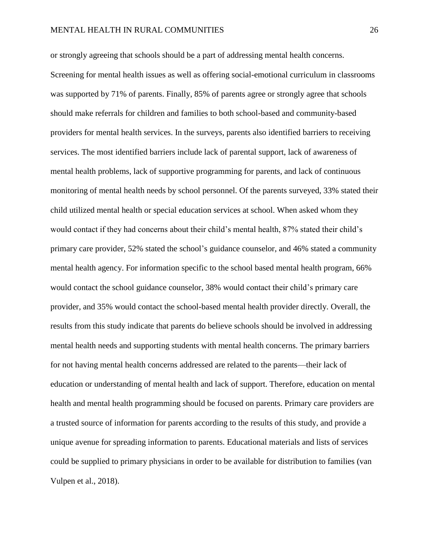or strongly agreeing that schools should be a part of addressing mental health concerns. Screening for mental health issues as well as offering social-emotional curriculum in classrooms was supported by 71% of parents. Finally, 85% of parents agree or strongly agree that schools should make referrals for children and families to both school-based and community-based providers for mental health services. In the surveys, parents also identified barriers to receiving services. The most identified barriers include lack of parental support, lack of awareness of mental health problems, lack of supportive programming for parents, and lack of continuous monitoring of mental health needs by school personnel. Of the parents surveyed, 33% stated their child utilized mental health or special education services at school. When asked whom they would contact if they had concerns about their child's mental health, 87% stated their child's primary care provider, 52% stated the school's guidance counselor, and 46% stated a community mental health agency. For information specific to the school based mental health program, 66% would contact the school guidance counselor, 38% would contact their child's primary care provider, and 35% would contact the school-based mental health provider directly. Overall, the results from this study indicate that parents do believe schools should be involved in addressing mental health needs and supporting students with mental health concerns. The primary barriers for not having mental health concerns addressed are related to the parents—their lack of education or understanding of mental health and lack of support. Therefore, education on mental health and mental health programming should be focused on parents. Primary care providers are a trusted source of information for parents according to the results of this study, and provide a unique avenue for spreading information to parents. Educational materials and lists of services could be supplied to primary physicians in order to be available for distribution to families (van Vulpen et al., 2018).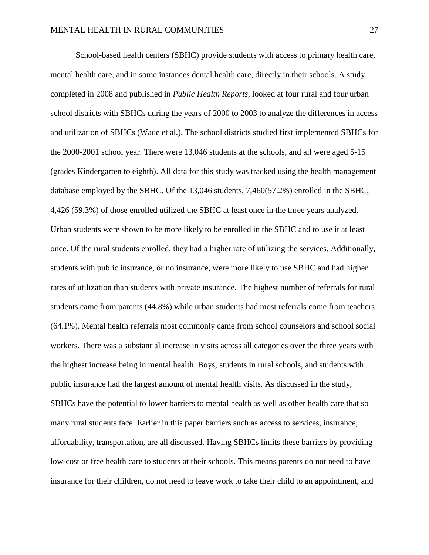School-based health centers (SBHC) provide students with access to primary health care, mental health care, and in some instances dental health care, directly in their schools. A study completed in 2008 and published in *Public Health Reports*, looked at four rural and four urban school districts with SBHCs during the years of 2000 to 2003 to analyze the differences in access and utilization of SBHCs (Wade et al.). The school districts studied first implemented SBHCs for the 2000-2001 school year. There were 13,046 students at the schools, and all were aged 5-15 (grades Kindergarten to eighth). All data for this study was tracked using the health management database employed by the SBHC. Of the 13,046 students, 7,460(57.2%) enrolled in the SBHC, 4,426 (59.3%) of those enrolled utilized the SBHC at least once in the three years analyzed. Urban students were shown to be more likely to be enrolled in the SBHC and to use it at least once. Of the rural students enrolled, they had a higher rate of utilizing the services. Additionally, students with public insurance, or no insurance, were more likely to use SBHC and had higher rates of utilization than students with private insurance. The highest number of referrals for rural students came from parents (44.8%) while urban students had most referrals come from teachers (64.1%). Mental health referrals most commonly came from school counselors and school social workers. There was a substantial increase in visits across all categories over the three years with the highest increase being in mental health. Boys, students in rural schools, and students with public insurance had the largest amount of mental health visits. As discussed in the study, SBHCs have the potential to lower barriers to mental health as well as other health care that so many rural students face. Earlier in this paper barriers such as access to services, insurance, affordability, transportation, are all discussed. Having SBHCs limits these barriers by providing low-cost or free health care to students at their schools. This means parents do not need to have insurance for their children, do not need to leave work to take their child to an appointment, and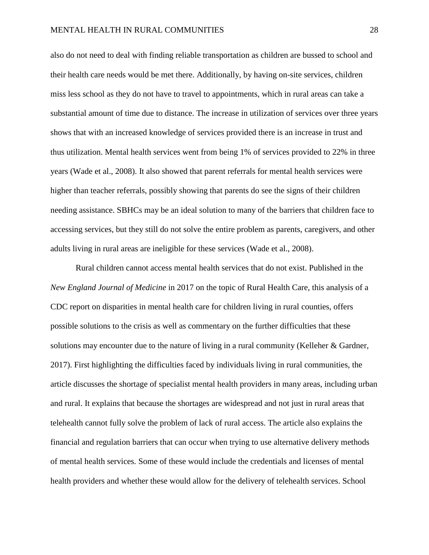also do not need to deal with finding reliable transportation as children are bussed to school and their health care needs would be met there. Additionally, by having on-site services, children miss less school as they do not have to travel to appointments, which in rural areas can take a substantial amount of time due to distance. The increase in utilization of services over three years shows that with an increased knowledge of services provided there is an increase in trust and thus utilization. Mental health services went from being 1% of services provided to 22% in three years (Wade et al., 2008). It also showed that parent referrals for mental health services were higher than teacher referrals, possibly showing that parents do see the signs of their children needing assistance. SBHCs may be an ideal solution to many of the barriers that children face to accessing services, but they still do not solve the entire problem as parents, caregivers, and other adults living in rural areas are ineligible for these services (Wade et al., 2008).

Rural children cannot access mental health services that do not exist. Published in the *New England Journal of Medicine* in 2017 on the topic of Rural Health Care, this analysis of a CDC report on disparities in mental health care for children living in rural counties, offers possible solutions to the crisis as well as commentary on the further difficulties that these solutions may encounter due to the nature of living in a rural community (Kelleher & Gardner, 2017). First highlighting the difficulties faced by individuals living in rural communities, the article discusses the shortage of specialist mental health providers in many areas, including urban and rural. It explains that because the shortages are widespread and not just in rural areas that telehealth cannot fully solve the problem of lack of rural access. The article also explains the financial and regulation barriers that can occur when trying to use alternative delivery methods of mental health services. Some of these would include the credentials and licenses of mental health providers and whether these would allow for the delivery of telehealth services. School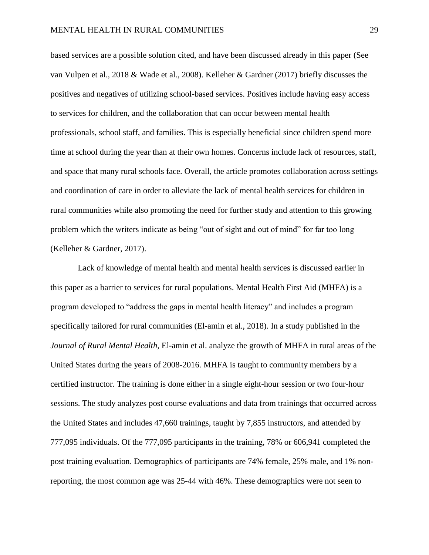based services are a possible solution cited, and have been discussed already in this paper (See van Vulpen et al., 2018 & Wade et al., 2008). Kelleher & Gardner (2017) briefly discusses the positives and negatives of utilizing school-based services. Positives include having easy access to services for children, and the collaboration that can occur between mental health professionals, school staff, and families. This is especially beneficial since children spend more time at school during the year than at their own homes. Concerns include lack of resources, staff, and space that many rural schools face. Overall, the article promotes collaboration across settings and coordination of care in order to alleviate the lack of mental health services for children in rural communities while also promoting the need for further study and attention to this growing problem which the writers indicate as being "out of sight and out of mind" for far too long (Kelleher & Gardner, 2017).

Lack of knowledge of mental health and mental health services is discussed earlier in this paper as a barrier to services for rural populations. Mental Health First Aid (MHFA) is a program developed to "address the gaps in mental health literacy" and includes a program specifically tailored for rural communities (El-amin et al., 2018). In a study published in the *Journal of Rural Mental Health*, El-amin et al. analyze the growth of MHFA in rural areas of the United States during the years of 2008-2016. MHFA is taught to community members by a certified instructor. The training is done either in a single eight-hour session or two four-hour sessions. The study analyzes post course evaluations and data from trainings that occurred across the United States and includes 47,660 trainings, taught by 7,855 instructors, and attended by 777,095 individuals. Of the 777,095 participants in the training, 78% or 606,941 completed the post training evaluation. Demographics of participants are 74% female, 25% male, and 1% nonreporting, the most common age was 25-44 with 46%. These demographics were not seen to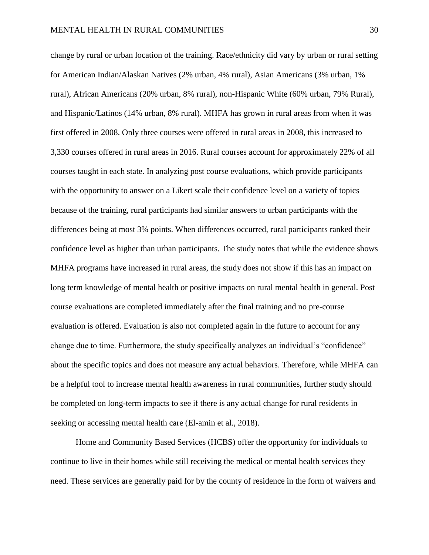change by rural or urban location of the training. Race/ethnicity did vary by urban or rural setting for American Indian/Alaskan Natives (2% urban, 4% rural), Asian Americans (3% urban, 1% rural), African Americans (20% urban, 8% rural), non-Hispanic White (60% urban, 79% Rural), and Hispanic/Latinos (14% urban, 8% rural). MHFA has grown in rural areas from when it was first offered in 2008. Only three courses were offered in rural areas in 2008, this increased to 3,330 courses offered in rural areas in 2016. Rural courses account for approximately 22% of all courses taught in each state. In analyzing post course evaluations, which provide participants with the opportunity to answer on a Likert scale their confidence level on a variety of topics because of the training, rural participants had similar answers to urban participants with the differences being at most 3% points. When differences occurred, rural participants ranked their confidence level as higher than urban participants. The study notes that while the evidence shows MHFA programs have increased in rural areas, the study does not show if this has an impact on long term knowledge of mental health or positive impacts on rural mental health in general. Post course evaluations are completed immediately after the final training and no pre-course evaluation is offered. Evaluation is also not completed again in the future to account for any change due to time. Furthermore, the study specifically analyzes an individual's "confidence" about the specific topics and does not measure any actual behaviors. Therefore, while MHFA can be a helpful tool to increase mental health awareness in rural communities, further study should be completed on long-term impacts to see if there is any actual change for rural residents in seeking or accessing mental health care (El-amin et al., 2018).

Home and Community Based Services (HCBS) offer the opportunity for individuals to continue to live in their homes while still receiving the medical or mental health services they need. These services are generally paid for by the county of residence in the form of waivers and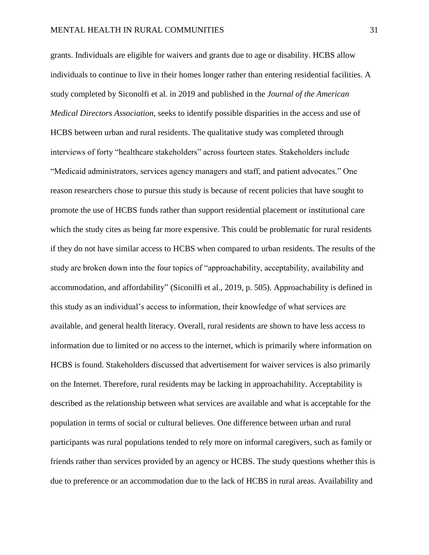grants. Individuals are eligible for waivers and grants due to age or disability. HCBS allow individuals to continue to live in their homes longer rather than entering residential facilities. A study completed by Siconolfi et al. in 2019 and published in the *Journal of the American Medical Directors Association,* seeks to identify possible disparities in the access and use of HCBS between urban and rural residents. The qualitative study was completed through interviews of forty "healthcare stakeholders" across fourteen states. Stakeholders include "Medicaid administrators, services agency managers and staff, and patient advocates." One reason researchers chose to pursue this study is because of recent policies that have sought to promote the use of HCBS funds rather than support residential placement or institutional care which the study cites as being far more expensive. This could be problematic for rural residents if they do not have similar access to HCBS when compared to urban residents. The results of the study are broken down into the four topics of "approachability, acceptability, availability and accommodation, and affordability" (Siconilfi et al., 2019, p. 505). Approachability is defined in this study as an individual's access to information, their knowledge of what services are available, and general health literacy. Overall, rural residents are shown to have less access to information due to limited or no access to the internet, which is primarily where information on HCBS is found. Stakeholders discussed that advertisement for waiver services is also primarily on the Internet. Therefore, rural residents may be lacking in approachability. Acceptability is described as the relationship between what services are available and what is acceptable for the population in terms of social or cultural believes. One difference between urban and rural participants was rural populations tended to rely more on informal caregivers, such as family or friends rather than services provided by an agency or HCBS. The study questions whether this is due to preference or an accommodation due to the lack of HCBS in rural areas. Availability and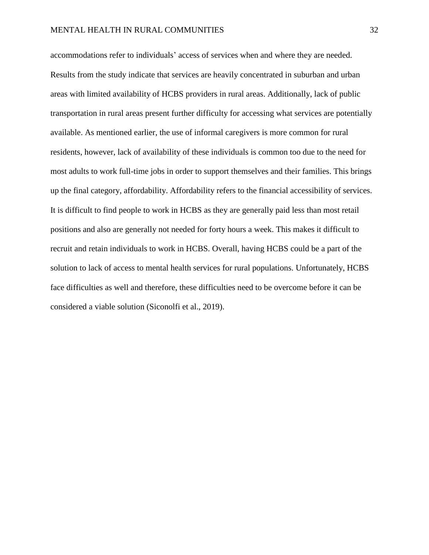accommodations refer to individuals' access of services when and where they are needed. Results from the study indicate that services are heavily concentrated in suburban and urban areas with limited availability of HCBS providers in rural areas. Additionally, lack of public transportation in rural areas present further difficulty for accessing what services are potentially available. As mentioned earlier, the use of informal caregivers is more common for rural residents, however, lack of availability of these individuals is common too due to the need for most adults to work full-time jobs in order to support themselves and their families. This brings up the final category, affordability. Affordability refers to the financial accessibility of services. It is difficult to find people to work in HCBS as they are generally paid less than most retail positions and also are generally not needed for forty hours a week. This makes it difficult to recruit and retain individuals to work in HCBS. Overall, having HCBS could be a part of the solution to lack of access to mental health services for rural populations. Unfortunately, HCBS face difficulties as well and therefore, these difficulties need to be overcome before it can be considered a viable solution (Siconolfi et al., 2019).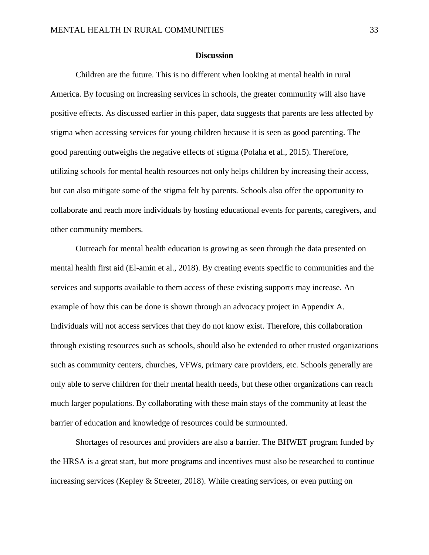#### **Discussion**

Children are the future. This is no different when looking at mental health in rural America. By focusing on increasing services in schools, the greater community will also have positive effects. As discussed earlier in this paper, data suggests that parents are less affected by stigma when accessing services for young children because it is seen as good parenting. The good parenting outweighs the negative effects of stigma (Polaha et al., 2015). Therefore, utilizing schools for mental health resources not only helps children by increasing their access, but can also mitigate some of the stigma felt by parents. Schools also offer the opportunity to collaborate and reach more individuals by hosting educational events for parents, caregivers, and other community members.

Outreach for mental health education is growing as seen through the data presented on mental health first aid (El-amin et al., 2018). By creating events specific to communities and the services and supports available to them access of these existing supports may increase. An example of how this can be done is shown through an advocacy project in Appendix A. Individuals will not access services that they do not know exist. Therefore, this collaboration through existing resources such as schools, should also be extended to other trusted organizations such as community centers, churches, VFWs, primary care providers, etc. Schools generally are only able to serve children for their mental health needs, but these other organizations can reach much larger populations. By collaborating with these main stays of the community at least the barrier of education and knowledge of resources could be surmounted.

Shortages of resources and providers are also a barrier. The BHWET program funded by the HRSA is a great start, but more programs and incentives must also be researched to continue increasing services (Kepley & Streeter, 2018). While creating services, or even putting on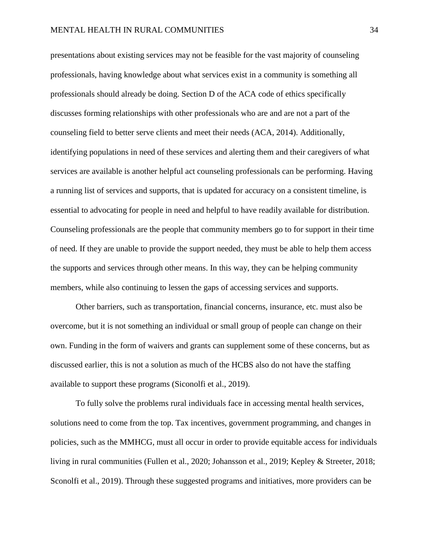presentations about existing services may not be feasible for the vast majority of counseling professionals, having knowledge about what services exist in a community is something all professionals should already be doing. Section D of the ACA code of ethics specifically discusses forming relationships with other professionals who are and are not a part of the counseling field to better serve clients and meet their needs (ACA, 2014). Additionally, identifying populations in need of these services and alerting them and their caregivers of what services are available is another helpful act counseling professionals can be performing. Having a running list of services and supports, that is updated for accuracy on a consistent timeline, is essential to advocating for people in need and helpful to have readily available for distribution. Counseling professionals are the people that community members go to for support in their time of need. If they are unable to provide the support needed, they must be able to help them access the supports and services through other means. In this way, they can be helping community members, while also continuing to lessen the gaps of accessing services and supports.

Other barriers, such as transportation, financial concerns, insurance, etc. must also be overcome, but it is not something an individual or small group of people can change on their own. Funding in the form of waivers and grants can supplement some of these concerns, but as discussed earlier, this is not a solution as much of the HCBS also do not have the staffing available to support these programs (Siconolfi et al., 2019).

To fully solve the problems rural individuals face in accessing mental health services, solutions need to come from the top. Tax incentives, government programming, and changes in policies, such as the MMHCG, must all occur in order to provide equitable access for individuals living in rural communities (Fullen et al., 2020; Johansson et al., 2019; Kepley & Streeter, 2018; Sconolfi et al., 2019). Through these suggested programs and initiatives, more providers can be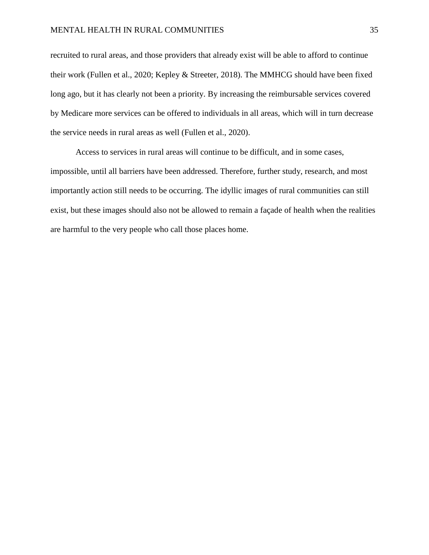recruited to rural areas, and those providers that already exist will be able to afford to continue their work (Fullen et al., 2020; Kepley & Streeter, 2018). The MMHCG should have been fixed long ago, but it has clearly not been a priority. By increasing the reimbursable services covered by Medicare more services can be offered to individuals in all areas, which will in turn decrease the service needs in rural areas as well (Fullen et al., 2020).

Access to services in rural areas will continue to be difficult, and in some cases, impossible, until all barriers have been addressed. Therefore, further study, research, and most importantly action still needs to be occurring. The idyllic images of rural communities can still exist, but these images should also not be allowed to remain a façade of health when the realities are harmful to the very people who call those places home.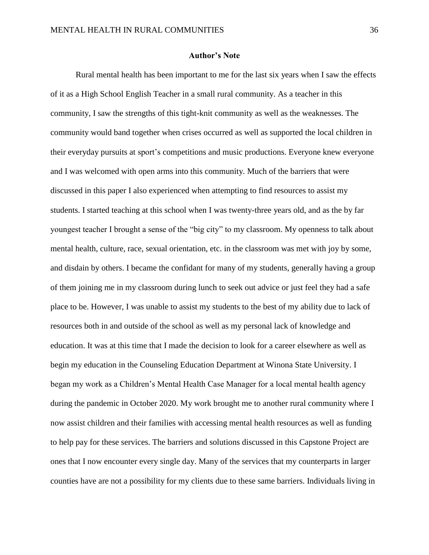#### **Author's Note**

Rural mental health has been important to me for the last six years when I saw the effects of it as a High School English Teacher in a small rural community. As a teacher in this community, I saw the strengths of this tight-knit community as well as the weaknesses. The community would band together when crises occurred as well as supported the local children in their everyday pursuits at sport's competitions and music productions. Everyone knew everyone and I was welcomed with open arms into this community. Much of the barriers that were discussed in this paper I also experienced when attempting to find resources to assist my students. I started teaching at this school when I was twenty-three years old, and as the by far youngest teacher I brought a sense of the "big city" to my classroom. My openness to talk about mental health, culture, race, sexual orientation, etc. in the classroom was met with joy by some, and disdain by others. I became the confidant for many of my students, generally having a group of them joining me in my classroom during lunch to seek out advice or just feel they had a safe place to be. However, I was unable to assist my students to the best of my ability due to lack of resources both in and outside of the school as well as my personal lack of knowledge and education. It was at this time that I made the decision to look for a career elsewhere as well as begin my education in the Counseling Education Department at Winona State University. I began my work as a Children's Mental Health Case Manager for a local mental health agency during the pandemic in October 2020. My work brought me to another rural community where I now assist children and their families with accessing mental health resources as well as funding to help pay for these services. The barriers and solutions discussed in this Capstone Project are ones that I now encounter every single day. Many of the services that my counterparts in larger counties have are not a possibility for my clients due to these same barriers. Individuals living in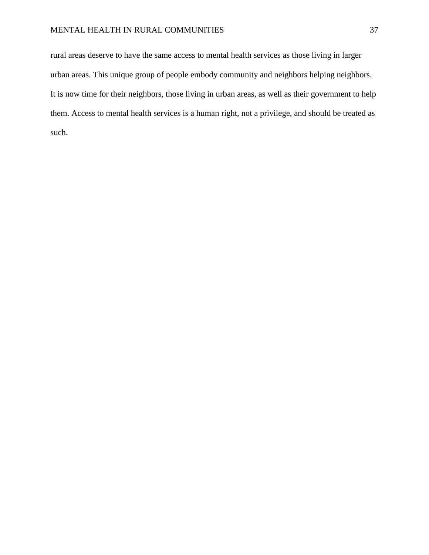rural areas deserve to have the same access to mental health services as those living in larger urban areas. This unique group of people embody community and neighbors helping neighbors. It is now time for their neighbors, those living in urban areas, as well as their government to help them. Access to mental health services is a human right, not a privilege, and should be treated as such.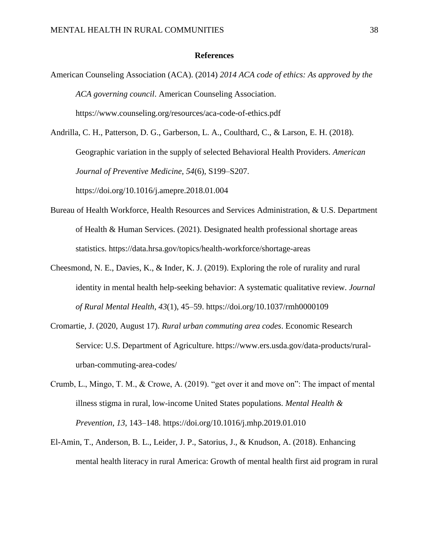#### **References**

American Counseling Association (ACA). (2014) *2014 ACA code of ethics: As approved by the ACA governing council*. American Counseling Association. https://www.counseling.org/resources/aca-code-of-ethics.pdf

Andrilla, C. H., Patterson, D. G., Garberson, L. A., Coulthard, C., & Larson, E. H. (2018). Geographic variation in the supply of selected Behavioral Health Providers. *American Journal of Preventive Medicine*, *54*(6), S199–S207. https://doi.org/10.1016/j.amepre.2018.01.004

- Bureau of Health Workforce, Health Resources and Services Administration, & U.S. Department of Health & Human Services. (2021). Designated health professional shortage areas statistics. https://data.hrsa.gov/topics/health-workforce/shortage-areas
- Cheesmond, N. E., Davies, K., & Inder, K. J. (2019). Exploring the role of rurality and rural identity in mental health help-seeking behavior: A systematic qualitative review. *Journal of Rural Mental Health*, *43*(1), 45–59. https://doi.org/10.1037/rmh0000109
- Cromartie, J. (2020, August 17). *Rural urban commuting area codes*. Economic Research Service: U.S. Department of Agriculture. https://www.ers.usda.gov/data-products/ruralurban-commuting-area-codes/
- Crumb, L., Mingo, T. M., & Crowe, A. (2019). "get over it and move on": The impact of mental illness stigma in rural, low-income United States populations. *Mental Health & Prevention*, *13*, 143–148. https://doi.org/10.1016/j.mhp.2019.01.010
- El-Amin, T., Anderson, B. L., Leider, J. P., Satorius, J., & Knudson, A. (2018). Enhancing mental health literacy in rural America: Growth of mental health first aid program in rural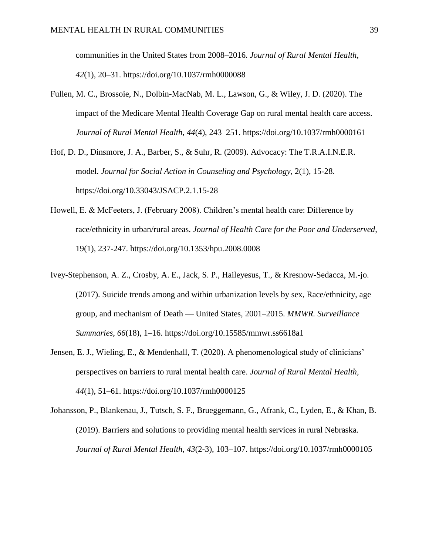communities in the United States from 2008–2016. *Journal of Rural Mental Health*, *42*(1), 20–31. https://doi.org/10.1037/rmh0000088

Fullen, M. C., Brossoie, N., Dolbin-MacNab, M. L., Lawson, G., & Wiley, J. D. (2020). The impact of the Medicare Mental Health Coverage Gap on rural mental health care access. *Journal of Rural Mental Health*, *44*(4), 243–251. https://doi.org/10.1037/rmh0000161

Hof, D. D., Dinsmore, J. A., Barber, S., & Suhr, R. (2009). Advocacy: The T.R.A.I.N.E.R. model. *Journal for Social Action in Counseling and Psychology*, 2(1), 15-28. https://doi.org/10.33043/JSACP.2.1.15-28

- Howell, E. & McFeeters, J. (February 2008). Children's mental health care: Difference by race/ethnicity in urban/rural areas. *Journal of Health Care for the Poor and Underserved,*  19(1), 237-247. https://doi.org/10.1353/hpu.2008.0008
- Ivey-Stephenson, A. Z., Crosby, A. E., Jack, S. P., Haileyesus, T., & Kresnow-Sedacca, M.-jo. (2017). Suicide trends among and within urbanization levels by sex, Race/ethnicity, age group, and mechanism of Death — United States, 2001–2015. *MMWR. Surveillance Summaries*, *66*(18), 1–16. https://doi.org/10.15585/mmwr.ss6618a1
- Jensen, E. J., Wieling, E., & Mendenhall, T. (2020). A phenomenological study of clinicians' perspectives on barriers to rural mental health care. *Journal of Rural Mental Health*, *44*(1), 51–61. https://doi.org/10.1037/rmh0000125

Johansson, P., Blankenau, J., Tutsch, S. F., Brueggemann, G., Afrank, C., Lyden, E., & Khan, B. (2019). Barriers and solutions to providing mental health services in rural Nebraska. *Journal of Rural Mental Health*, *43*(2-3), 103–107. https://doi.org/10.1037/rmh0000105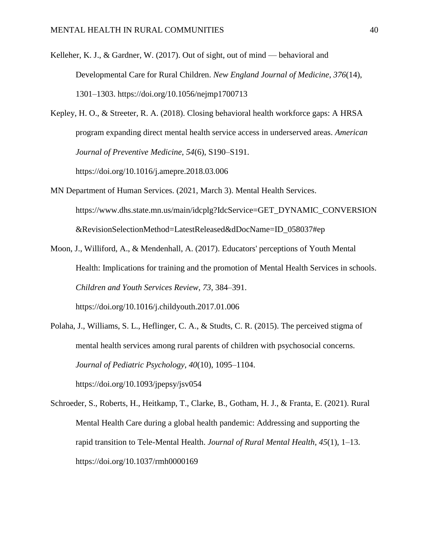- Kelleher, K. J., & Gardner, W. (2017). Out of sight, out of mind behavioral and Developmental Care for Rural Children. *New England Journal of Medicine*, *376*(14), 1301–1303. https://doi.org/10.1056/nejmp1700713
- Kepley, H. O., & Streeter, R. A. (2018). Closing behavioral health workforce gaps: A HRSA program expanding direct mental health service access in underserved areas. *American Journal of Preventive Medicine*, *54*(6), S190–S191.

https://doi.org/10.1016/j.amepre.2018.03.006

- MN Department of Human Services. (2021, March 3). Mental Health Services. https://www.dhs.state.mn.us/main/idcplg?IdcService=GET\_DYNAMIC\_CONVERSION &RevisionSelectionMethod=LatestReleased&dDocName=ID\_058037#ep
- Moon, J., Williford, A., & Mendenhall, A. (2017). Educators' perceptions of Youth Mental Health: Implications for training and the promotion of Mental Health Services in schools. *Children and Youth Services Review*, *73*, 384–391. https://doi.org/10.1016/j.childyouth.2017.01.006
- Polaha, J., Williams, S. L., Heflinger, C. A., & Studts, C. R. (2015). The perceived stigma of mental health services among rural parents of children with psychosocial concerns. *Journal of Pediatric Psychology*, *40*(10), 1095–1104. https://doi.org/10.1093/jpepsy/jsv054
- Schroeder, S., Roberts, H., Heitkamp, T., Clarke, B., Gotham, H. J., & Franta, E. (2021). Rural Mental Health Care during a global health pandemic: Addressing and supporting the rapid transition to Tele-Mental Health. *Journal of Rural Mental Health*, *45*(1), 1–13. https://doi.org/10.1037/rmh0000169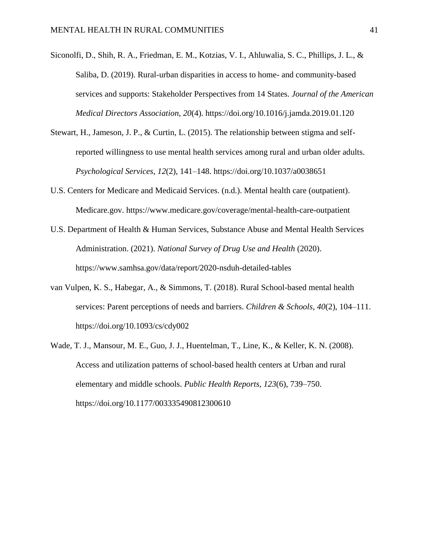- Siconolfi, D., Shih, R. A., Friedman, E. M., Kotzias, V. I., Ahluwalia, S. C., Phillips, J. L., & Saliba, D. (2019). Rural-urban disparities in access to home- and community-based services and supports: Stakeholder Perspectives from 14 States. *Journal of the American Medical Directors Association*, *20*(4). https://doi.org/10.1016/j.jamda.2019.01.120
- Stewart, H., Jameson, J. P., & Curtin, L. (2015). The relationship between stigma and selfreported willingness to use mental health services among rural and urban older adults. *Psychological Services*, *12*(2), 141–148. https://doi.org/10.1037/a0038651
- U.S. Centers for Medicare and Medicaid Services. (n.d.). Mental health care (outpatient). Medicare.gov. https://www.medicare.gov/coverage/mental-health-care-outpatient
- U.S. Department of Health & Human Services, Substance Abuse and Mental Health Services Administration. (2021). *National Survey of Drug Use and Health* (2020). https://www.samhsa.gov/data/report/2020-nsduh-detailed-tables
- van Vulpen, K. S., Habegar, A., & Simmons, T. (2018). Rural School-based mental health services: Parent perceptions of needs and barriers. *Children & Schools*, *40*(2), 104–111. https://doi.org/10.1093/cs/cdy002
- Wade, T. J., Mansour, M. E., Guo, J. J., Huentelman, T., Line, K., & Keller, K. N. (2008). Access and utilization patterns of school-based health centers at Urban and rural elementary and middle schools. *Public Health Reports*, *123*(6), 739–750. https://doi.org/10.1177/003335490812300610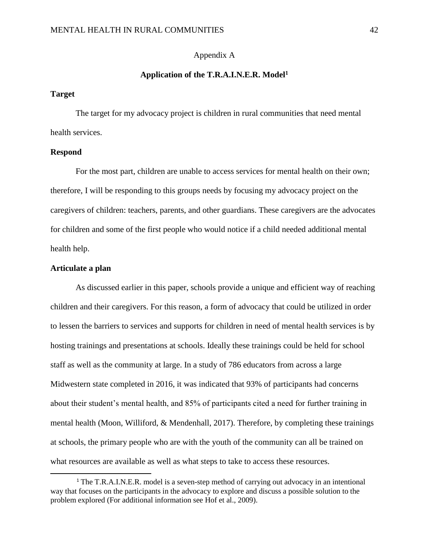## Appendix A

#### **Application of the T.R.A.I.N.E.R. Model<sup>1</sup>**

# **Target**

The target for my advocacy project is children in rural communities that need mental health services.

#### **Respond**

For the most part, children are unable to access services for mental health on their own; therefore, I will be responding to this groups needs by focusing my advocacy project on the caregivers of children: teachers, parents, and other guardians. These caregivers are the advocates for children and some of the first people who would notice if a child needed additional mental health help.

#### **Articulate a plan**

 $\overline{\phantom{a}}$ 

As discussed earlier in this paper, schools provide a unique and efficient way of reaching children and their caregivers. For this reason, a form of advocacy that could be utilized in order to lessen the barriers to services and supports for children in need of mental health services is by hosting trainings and presentations at schools. Ideally these trainings could be held for school staff as well as the community at large. In a study of 786 educators from across a large Midwestern state completed in 2016, it was indicated that 93% of participants had concerns about their student's mental health, and 85% of participants cited a need for further training in mental health (Moon, Williford, & Mendenhall, 2017). Therefore, by completing these trainings at schools, the primary people who are with the youth of the community can all be trained on what resources are available as well as what steps to take to access these resources.

<sup>&</sup>lt;sup>1</sup> The T.R.A.I.N.E.R. model is a seven-step method of carrying out advocacy in an intentional way that focuses on the participants in the advocacy to explore and discuss a possible solution to the problem explored (For additional information see Hof et al., 2009).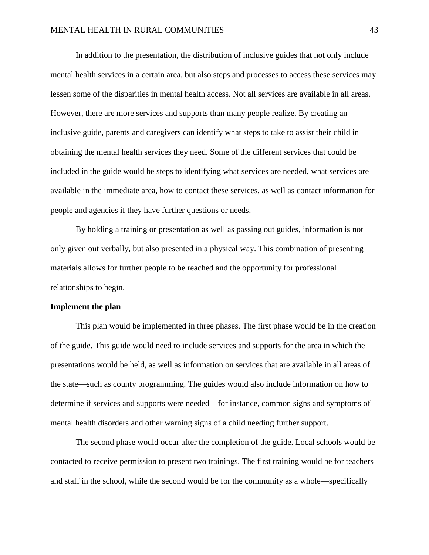In addition to the presentation, the distribution of inclusive guides that not only include mental health services in a certain area, but also steps and processes to access these services may lessen some of the disparities in mental health access. Not all services are available in all areas. However, there are more services and supports than many people realize. By creating an inclusive guide, parents and caregivers can identify what steps to take to assist their child in obtaining the mental health services they need. Some of the different services that could be included in the guide would be steps to identifying what services are needed, what services are available in the immediate area, how to contact these services, as well as contact information for people and agencies if they have further questions or needs.

By holding a training or presentation as well as passing out guides, information is not only given out verbally, but also presented in a physical way. This combination of presenting materials allows for further people to be reached and the opportunity for professional relationships to begin.

#### **Implement the plan**

This plan would be implemented in three phases. The first phase would be in the creation of the guide. This guide would need to include services and supports for the area in which the presentations would be held, as well as information on services that are available in all areas of the state—such as county programming. The guides would also include information on how to determine if services and supports were needed—for instance, common signs and symptoms of mental health disorders and other warning signs of a child needing further support.

The second phase would occur after the completion of the guide. Local schools would be contacted to receive permission to present two trainings. The first training would be for teachers and staff in the school, while the second would be for the community as a whole—specifically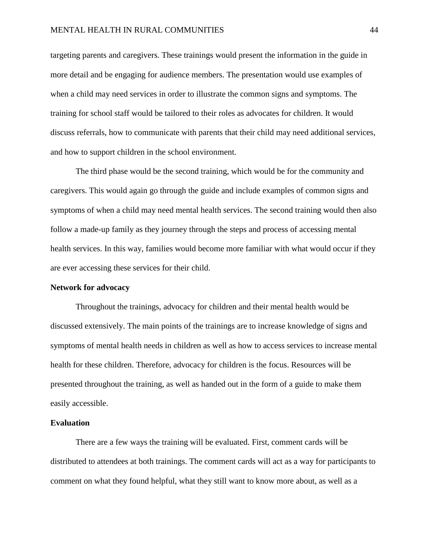targeting parents and caregivers. These trainings would present the information in the guide in more detail and be engaging for audience members. The presentation would use examples of when a child may need services in order to illustrate the common signs and symptoms. The training for school staff would be tailored to their roles as advocates for children. It would discuss referrals, how to communicate with parents that their child may need additional services, and how to support children in the school environment.

The third phase would be the second training, which would be for the community and caregivers. This would again go through the guide and include examples of common signs and symptoms of when a child may need mental health services. The second training would then also follow a made-up family as they journey through the steps and process of accessing mental health services. In this way, families would become more familiar with what would occur if they are ever accessing these services for their child.

#### **Network for advocacy**

Throughout the trainings, advocacy for children and their mental health would be discussed extensively. The main points of the trainings are to increase knowledge of signs and symptoms of mental health needs in children as well as how to access services to increase mental health for these children. Therefore, advocacy for children is the focus. Resources will be presented throughout the training, as well as handed out in the form of a guide to make them easily accessible.

### **Evaluation**

There are a few ways the training will be evaluated. First, comment cards will be distributed to attendees at both trainings. The comment cards will act as a way for participants to comment on what they found helpful, what they still want to know more about, as well as a